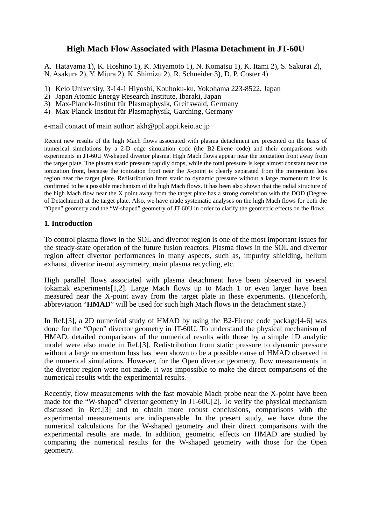# **High Mach Flow Associated with Plasma Detachment in JT-60U**

A. Hatayama 1), K. Hoshino 1), K. Miyamoto 1), N. Komatsu 1), K. Itami 2), S. Sakurai 2), N. Asakura 2), Y. Miura 2), K. Shimizu 2), R. Schneider 3), D. P. Coster 4)

- 1) Keio University, 3-14-1 Hiyoshi, Kouhoku-ku, Yokohama 223-8522, Japan
- 2) Japan Atomic Energy Research Institute, Ibaraki, Japan
- 3) Max-Planck-Institut für Plasmaphysik, Greifswald, Germany
- 4) Max-Planck-Institut für Plasmaphysik, Garching, Germany

e-mail contact of main author: akh@ppl.appi.keio.ac.jp

Recent new results of the high Mach flows associated with plasma detachment are presented on the basis of numerical simulations by a 2-D edge simulation code (the B2-Eirene code) and their comparisons with experiments in JT-60U W-shaped divertor plasma. High Mach flows appear near the ionization front away from the target plate. The plasma static pressure rapidly drops, while the total pressure is kept almost constant near the ionization front, because the ionization front near the X-point is clearly separated from the momentum loss region near the target plate. Redistribution from static to dynamic pressure without a large momentum loss is confirmed to be a possible mechanism of the high Mach flows. It has been also shown that the radial structure of the high Mach flow near the X point away from the target plate has a strong correlation with the DOD (Degree of Detachment) at the target plate. Also, we have made systematic analyses on the high Mach flows for both the "Open" geometry and the "W-shaped" geometry of JT-60U in order to clarify the geometric effects on the flows.

### **1. Introduction**

To control plasma flows in the SOL and divertor region is one of the most important issues for the steady-state operation of the future fusion reactors. Plasma flows in the SOL and divertor region affect divertor performances in many aspects, such as, impurity shielding, helium exhaust, divertor in-out asymmetry, main plasma recycling, etc.

High parallel flows associated with plasma detachment have been observed in several tokamak experiments[1,2]. Large Mach flows up to Mach 1 or even larger have been measured near the X-point away from the target plate in these experiments. (Henceforth, abbreviation "**HMAD**" will be used for such high Mach flows in the detachment state.)

In Ref.[3], a 2D numerical study of HMAD by using the B2-Eirene code package[4-6] was done for the "Open" divertor geometry in JT-60U. To understand the physical mechanism of HMAD, detailed comparisons of the numerical results with those by a simple 1D analytic model were also made in Ref.[3]. Redistribution from static pressure to dynamic pressure without a large momentum loss has been shown to be a possible cause of HMAD observed in the numerical simulations. However, for the Open divertor geometry, flow measurements in the divertor region were not made. It was impossible to make the direct comparisons of the numerical results with the experimental results.

Recently, flow measurements with the fast movable Mach probe near the X-point have been made for the "W-shaped" divertor geometry in JT-60U[2]. To verify the physical mechanism discussed in Ref.[3] and to obtain more robust conclusions, comparisons with the experimental measurements are indispensable. In the present study, we have done the numerical calculations for the W-shaped geometry and their direct comparisons with the experimental results are made. In addition, geometric effects on HMAD are studied by comparing the numerical results for the W-shaped geometry with those for the Open geometry.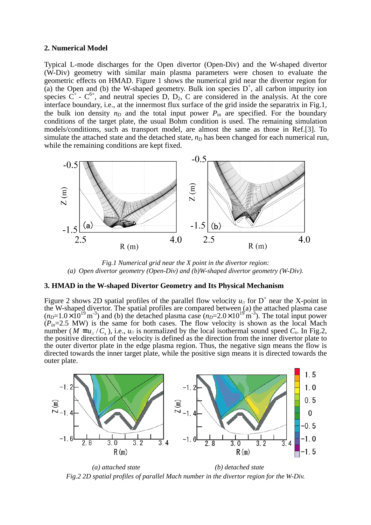#### **2. Numerical Model**

Typical L-mode discharges for the Open divertor (Open-Div) and the W-shaped divertor (W-Div) geometry with similar main plasma parameters were chosen to evaluate the geometric effects on HMAD. Figure 1 shows the numerical grid near the divertor region for (a) the Open and (b) the W-shaped geometry. Bulk ion species  $D^+$ , all carbon impurity ion species  $C^+$  -  $C^{6+}$ , and neutral species D, D<sub>2</sub>, C are considered in the analysis. At the core interface boundary, i.e., at the innermost flux surface of the grid inside the separatrix in Fig.1, the bulk ion density  $n_D$  and the total input power  $P_{in}$  are specified. For the boundary conditions of the target plate, the usual Bohm condition is used. The remaining simulation models/conditions, such as transport model, are almost the same as those in Ref.[3]. To simulate the attached state and the detached state,  $n<sub>D</sub>$  has been changed for each numerical run, while the remaining conditions are kept fixed.



*Fig.1 Numerical grid near the X point in the divertor region: (a) Open divertor geometry (Open-Div) and (b)W-shaped divertor geometry (W-Div).* 

## **3. HMAD in the W-shaped Divertor Geometry and Its Physical Mechanism**

Figure 2 shows 2D spatial profiles of the parallel flow velocity  $u_{\ell}$  for  $D^+$  near the X-point in the W-shaped divertor. The spatial profiles are compared between (a) the attached plasma case  $(n_D=1.0\times10^{19} \text{ m}^3)$  and (b) the detached plasma case  $(n_D=2.0\times10^{19} \text{ m}^3)$ . The total input power  $(P_{in}=2.5$  MW) is the same for both cases. The flow velocity is shown as the local Mach number ( $M \equiv u_{\mu}/C_s$ ), i.e.,  $u_{\mu}$  is normalized by the local isothermal sound speed  $C_s$ . In Fig.2, the positive direction of the velocity is defined as the direction from the inner divertor plate to the outer divertor plate in the edge plasma region. Thus, the negative sign means the flow is directed towards the inner target plate, while the positive sign means it is directed towards the outer plate.



*(a) attached state (b) detached state Fig.2 2D spatial profiles of parallel Mach number in the divertor region for the W-Div.*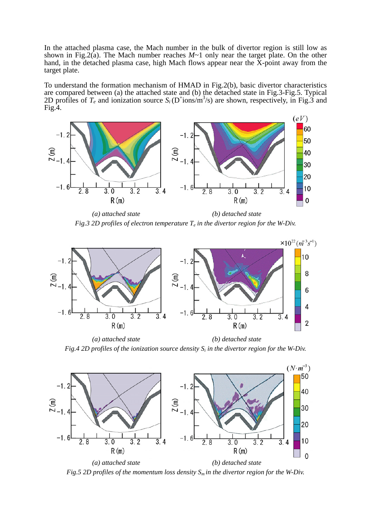In the attached plasma case, the Mach number in the bulk of divertor region is still low as shown in Fig.2(a). The Mach number reaches  $M \sim 1$  only near the target plate. On the other hand, in the detached plasma case, high Mach flows appear near the X-point away from the target plate.

To understand the formation mechanism of HMAD in Fig.2(b), basic divertor characteristics are compared between (a) the attached state and (b) the detached state in Fig.3-Fig.5. Typical 2D profiles of  $T_e$  and ionization source  $S_i$  (D<sup>+</sup>ions/m<sup>3</sup>/s) are shown, respectively, in Fig.3 and Fig.4.



*(a) attached state (b) detached state Fig.3 2D profiles of electron temperature*  $T_e$  *in the divertor region for the W-Div.* 



*(a) attached state (b) detached state Fig.4 2D profiles of the ionization source density Si in the divertor region for the W-Div.* 



*Fig.5 2D profiles of the momentum loss density Sm in the divertor region for the W-Div.*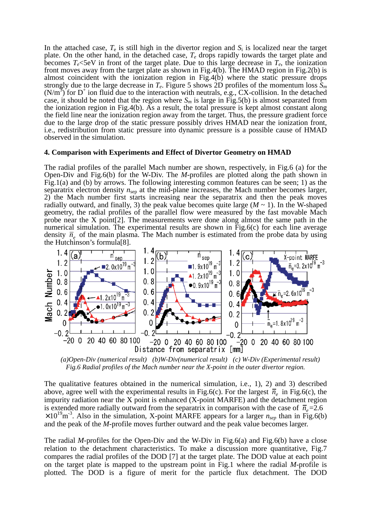In the attached case,  $T_e$  is still high in the divertor region and  $S_i$  is localized near the target plate. On the other hand, in the detached case, *Te* drops rapidly towards the target plate and becomes  $T_e$ <5eV in front of the target plate. Due to this large decrease in  $T_e$ , the ionization front moves away from the target plate as shown in Fig.4(b). The HMAD region in Fig.2(b) is almost coincident with the ionization region in Fig.4(b) where the static pressure drops strongly due to the large decrease in  $T_e$ . Figure 5 shows 2D profiles of the momentum loss  $\bar{S}_m$  $(N/m<sup>3</sup>)$  for D<sup>+</sup> ion fluid due to the interaction with neutrals, e.g., CX-collision. In the detached case, it should be noted that the region where  $S_m$  is large in Fig.5(b) is almost separated from the ionization region in Fig.4(b). As a result, the total pressure is kept almost constant along the field line near the ionization region away from the target. Thus, the pressure gradient force due to the large drop of the static pressure possibly drives HMAD near the ionization front, i.e., redistribution from static pressure into dynamic pressure is a possible cause of HMAD observed in the simulation.

#### **4. Comparison with Experiments and Effect of Divertor Geometry on HMAD**

The radial profiles of the parallel Mach number are shown, respectively, in Fig.6 (a) for the Open-Div and Fig.6(b) for the W-Div. The *M*-profiles are plotted along the path shown in Fig.1(a) and (b) by arrows. The following interesting common features can be seen; 1) as the separatrix electron density  $n_{\rm sen}$  at the mid-plane increases, the Mach number becomes larger, 2) the Mach number first starts increasing near the separatrix and then the peak moves radially outward, and finally, 3) the peak value becomes quite large  $(M \sim 1)$ . In the W-shaped geometry, the radial profiles of the parallel flow were measured by the fast movable Mach probe near the X point  $[2]$ . The measurements were done along almost the same path in the numerical simulation. The experimental results are shown in Fig.6(c) for each line average density  $\bar{n}_e$  of the main plasma. The Mach number is estimated from the probe data by using the Hutchinson's formula[8].



*Fig.6 Radial profiles of the Mach number near the X-point in the outer divertor region.*

The qualitative features obtained in the numerical simulation, i.e., 1), 2) and 3) described above, agree well with the experimental results in Fig.6(c). For the largest  $\bar{n}_e$  in Fig.6(c), the impurity radiation near the X point is enhanced (X-point MARFE) and the detachment region is extended more radially outward from the separatrix in comparison with the case of  $\bar{n}_{e}$ =2.6  $\times 10^{19}$ m<sup>-3</sup>. Also in the simulation, X-point MARFE appears for a larger  $n_{sep}$  than in Fig.6(b) and the peak of the *M*-profile moves further outward and the peak value becomes larger.

The radial *M-*profiles for the Open-Div and the W-Div in Fig.6(a) and Fig.6(b) have a close relation to the detachment characteristics. To make a discussion more quantitative, Fig.7 compares the radial profiles of the DOD [7] at the target plate. The DOD value at each point on the target plate is mapped to the upstream point in Fig.1 where the radial *M*-profile is plotted. The DOD is a figure of merit for the particle flux detachment. The DOD